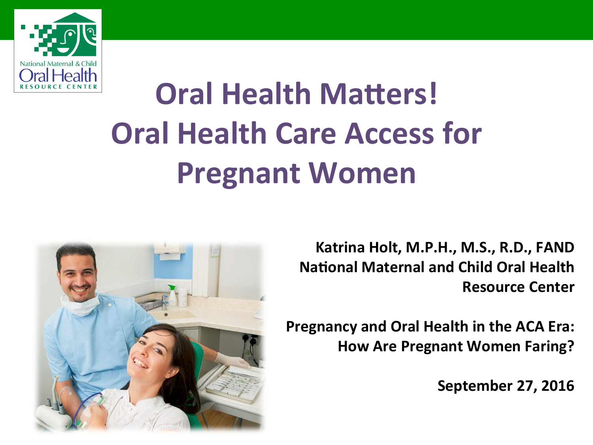

# **Oral Health Matters! Oral Health Care Access for Pregnant Women**



Katrina Holt, M.P.H., M.S., R.D., FAND **National Maternal and Child Oral Health Resource Center** 

**Pregnancy and Oral Health in the ACA Era: How Are Pregnant Women Faring?** 

**September 27, 2016**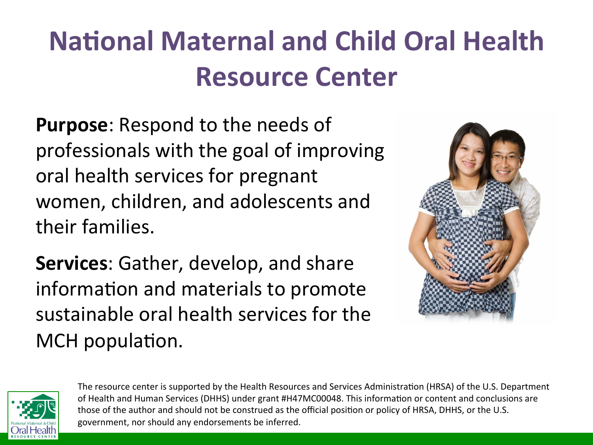### **National Maternal and Child Oral Health Resource Center**

**Purpose:** Respond to the needs of professionals with the goal of improving oral health services for pregnant women, children, and adolescents and their families.

**Services:** Gather, develop, and share information and materials to promote sustainable oral health services for the MCH population.





The resource center is supported by the Health Resources and Services Administration (HRSA) of the U.S. Department of Health and Human Services (DHHS) under grant #H47MC00048. This information or content and conclusions are those of the author and should not be construed as the official position or policy of HRSA, DHHS, or the U.S. government, nor should any endorsements be inferred.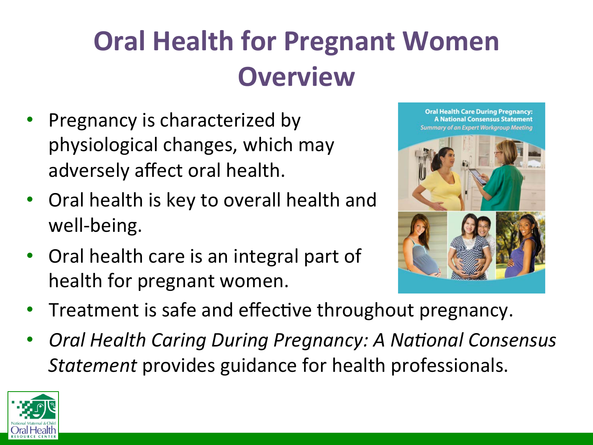#### **Oral Health for Pregnant Women Overview**

- Pregnancy is characterized by physiological changes, which may adversely affect oral health.
- Oral health is key to overall health and well-being.
- Oral health care is an integral part of health for pregnant women.



**Oral Health Care During Pregnancy:** 

- Treatment is safe and effective throughout pregnancy.
- **Oral Health Caring During Pregnancy: A National Consensus** *Statement* provides guidance for health professionals.

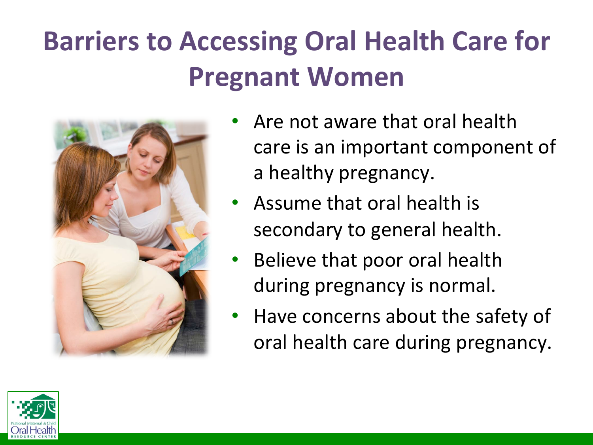#### **Barriers to Accessing Oral Health Care for Pregnant Women**



- Are not aware that oral health care is an important component of a healthy pregnancy.
- Assume that oral health is secondary to general health.
- Believe that poor oral health during pregnancy is normal.
- Have concerns about the safety of oral health care during pregnancy.

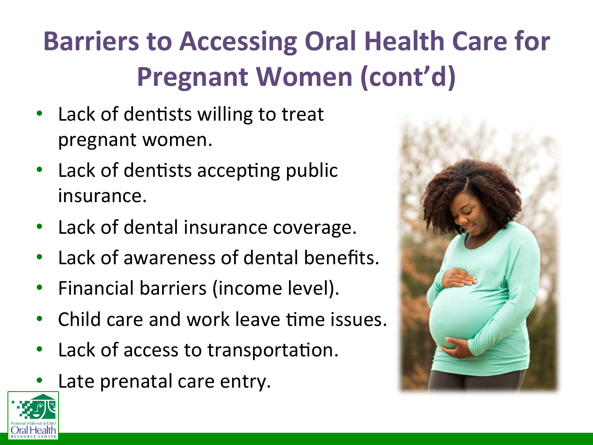## **Barriers to Accessing Oral Health Care for Pregnant Women (cont'd)**

- Lack of dentists willing to treat pregnant women.
- Lack of dentists accepting public insurance.
- Lack of dental insurance coverage.
- Lack of awareness of dental benefits.
- Financial barriers (income level).
- **Child care and work leave time issues.**
- Lack of access to transportation.
- Late prenatal care entry.



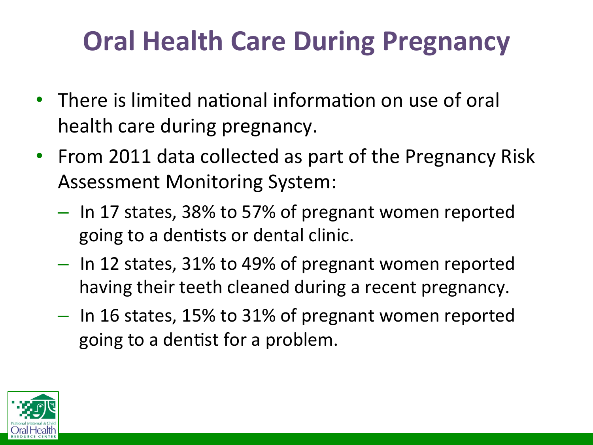#### **Oral Health Care During Pregnancy**

- There is limited national information on use of oral health care during pregnancy.
- From 2011 data collected as part of the Pregnancy Risk Assessment Monitoring System:
	- $-$  In 17 states, 38% to 57% of pregnant women reported going to a dentists or dental clinic.
	- $-$  In 12 states, 31% to 49% of pregnant women reported having their teeth cleaned during a recent pregnancy.
	- $-$  In 16 states, 15% to 31% of pregnant women reported going to a dentist for a problem.

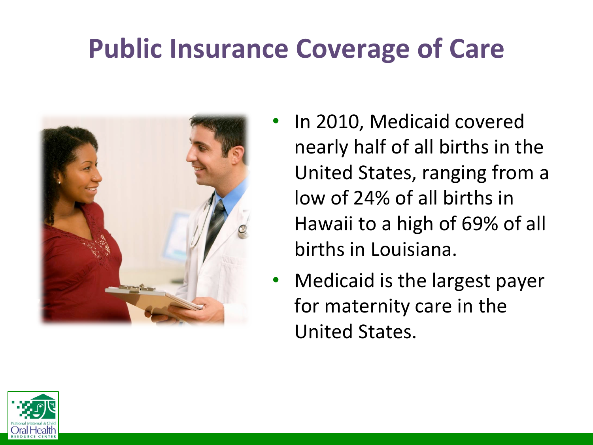#### **Public Insurance Coverage of Care**



- In 2010, Medicaid covered nearly half of all births in the United States, ranging from a low of 24% of all births in Hawaii to a high of 69% of all births in Louisiana.
- Medicaid is the largest payer for maternity care in the United States.

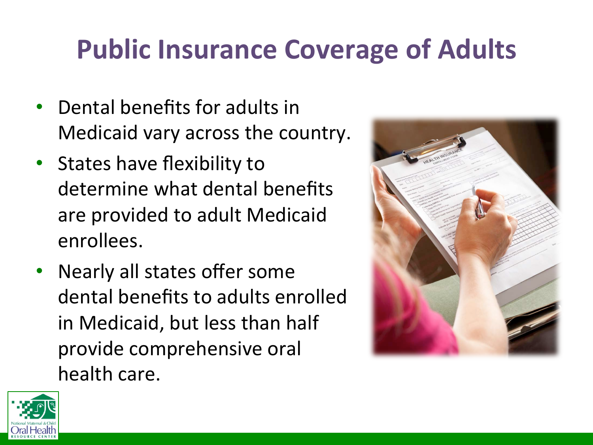#### **Public Insurance Coverage of Adults**

- Dental benefits for adults in Medicaid vary across the country.
- States have flexibility to determine what dental benefits are provided to adult Medicaid enrollees.
- Nearly all states offer some dental benefits to adults enrolled in Medicaid, but less than half provide comprehensive oral health care.



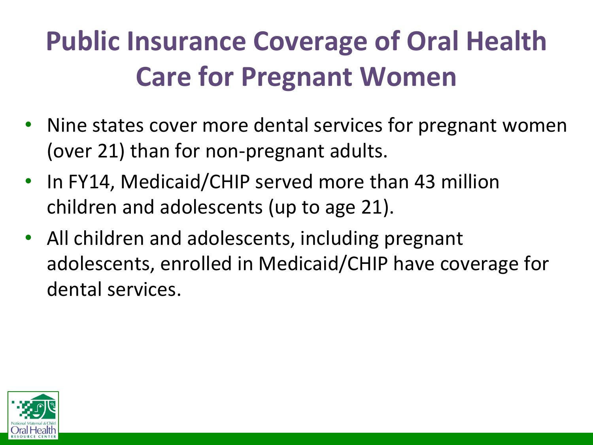## **Public Insurance Coverage of Oral Health Care for Pregnant Women**

- Nine states cover more dental services for pregnant women (over 21) than for non-pregnant adults.
- In FY14, Medicaid/CHIP served more than 43 million children and adolescents (up to age 21).
- All children and adolescents, including pregnant adolescents, enrolled in Medicaid/CHIP have coverage for dental services.

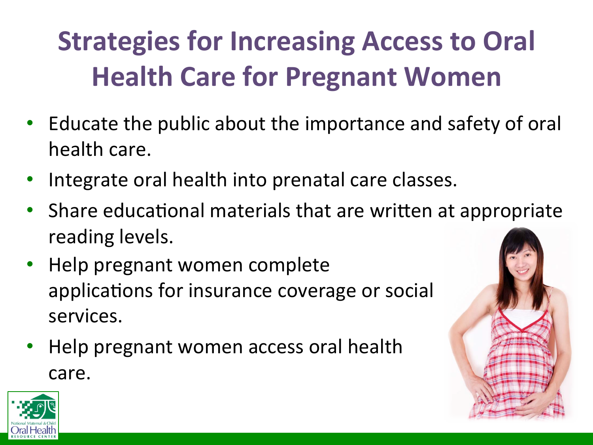## **Strategies for Increasing Access to Oral Health Care for Pregnant Women**

- Educate the public about the importance and safety of oral health care.
- Integrate oral health into prenatal care classes.
- Share educational materials that are written at appropriate reading levels.
- Help pregnant women complete applications for insurance coverage or social services.
- Help pregnant women access oral health care.



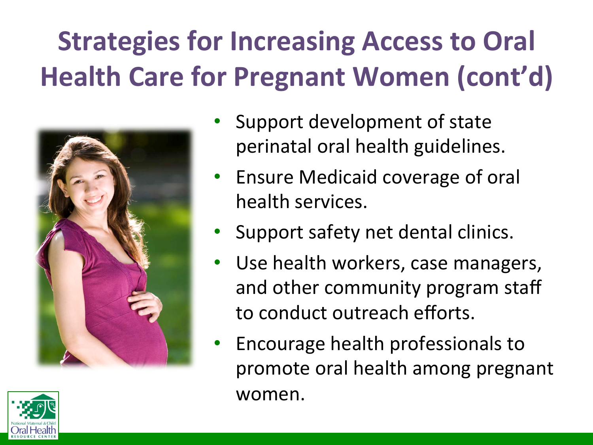## **Strategies for Increasing Access to Oral Health Care for Pregnant Women (cont'd)**





- Ensure Medicaid coverage of oral health services.
- Support safety net dental clinics.
- Use health workers, case managers, and other community program staff to conduct outreach efforts.
- Encourage health professionals to promote oral health among pregnant women.

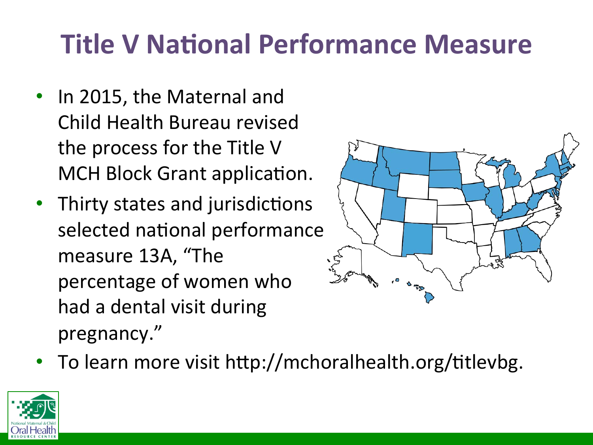#### **Title V National Performance Measure**

- In 2015, the Maternal and Child Health Bureau revised the process for the Title V MCH Block Grant application.
- Thirty states and jurisdictions selected national performance measure 13A, "The percentage of women who had a dental visit during pregnancy."



• To learn more visit http://mchoralhealth.org/titlevbg.

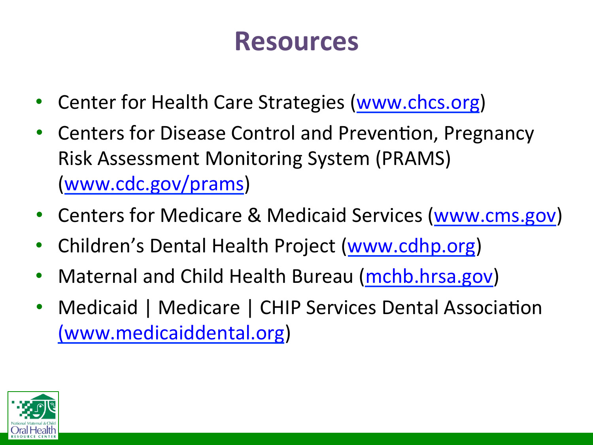#### **Resources**

- Center for Health Care Strategies (www.chcs.org)
- Centers for Disease Control and Prevention, Pregnancy Risk Assessment Monitoring System (PRAMS) (www.cdc.gov/prams)
- Centers for Medicare & Medicaid Services (www.cms.gov)
- Children's Dental Health Project (www.cdhp.org)
- Maternal and Child Health Bureau (mchb.hrsa.gov)
- Medicaid | Medicare | CHIP Services Dental Association (www.medicaiddental.org)